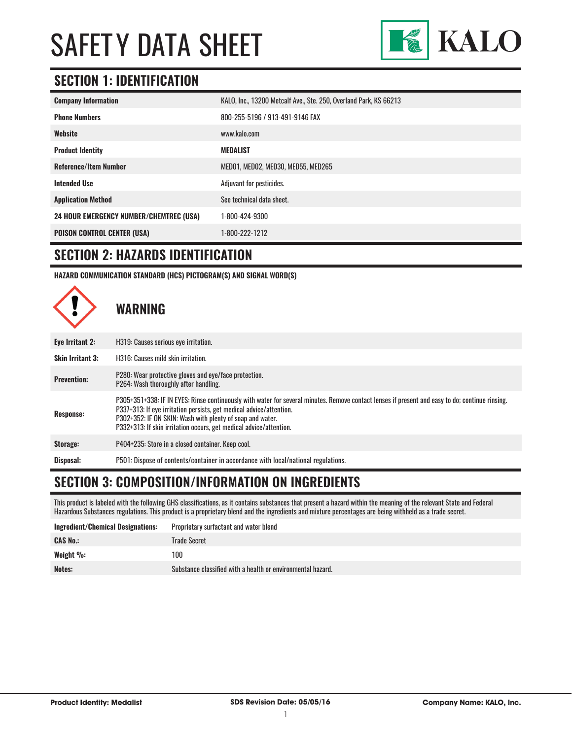# SAFET Y DATA SHEET



# **SECTION 1: IDENTIFICATION**

| <b>Company Information</b>                     | KALO, Inc., 13200 Metcalf Ave., Ste. 250, Overland Park, KS 66213 |
|------------------------------------------------|-------------------------------------------------------------------|
| <b>Phone Numbers</b>                           | 800-255-5196 / 913-491-9146 FAX                                   |
| Website                                        | www.kalo.com                                                      |
| <b>Product Identity</b>                        | MEDALIST                                                          |
| <b>Reference/Item Number</b>                   | MEDO1, MEDO2, MED30, MED55, MED265                                |
| <b>Intended Use</b>                            | Adjuvant for pesticides.                                          |
| <b>Application Method</b>                      | See technical data sheet.                                         |
| <b>24 HOUR EMERGENCY NUMBER/CHEMTREC (USA)</b> | 1-800-424-9300                                                    |
| <b>POISON CONTROL CENTER (USA)</b>             | 1-800-222-1212                                                    |

### **SECTION 2: HAZARDS IDENTIFICATION**

**HAZARD COMMUNICATION STANDARD (HCS) PICTOGRAM(S) AND SIGNAL WORD(S)**



# **SECTION 3: COMPOSITION/INFORMATION ON INGREDIENTS**

This product is labeled with the following GHS classifications, as it contains substances that present a hazard within the meaning of the relevant State and Federal Hazardous Substances regulations. This product is a proprietary blend and the ingredients and mixture percentages are being withheld as a trade secret.

| Ingredient/Chemical Designations: | Proprietary surfactant and water blend                      |
|-----------------------------------|-------------------------------------------------------------|
| <b>CAS No.:</b>                   | Trade Secret                                                |
| Weight $\%$ :                     | 100                                                         |
| <b>Notes:</b>                     | Substance classified with a health or environmental hazard. |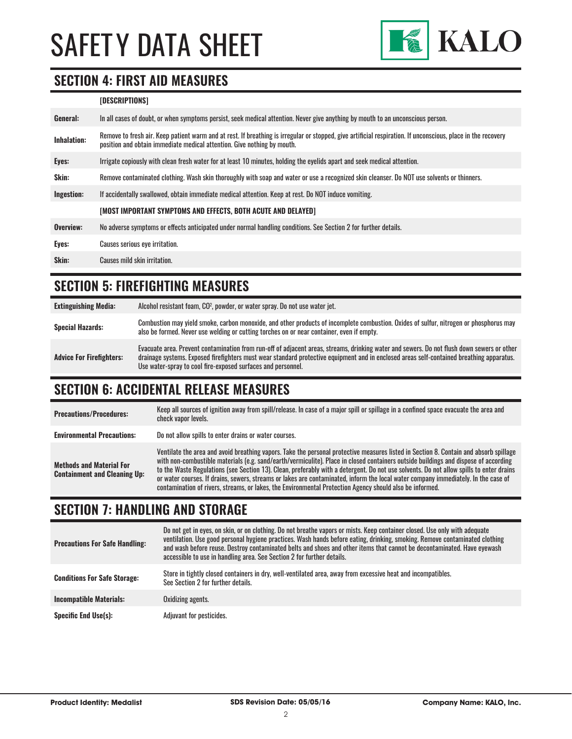# SAFETY DATA SHEET



## **SECTION 4: FIRST AID MEASURES**

#### **[DESCRIPTIONS]**

| General:           | In all cases of doubt, or when symptoms persist, seek medical attention. Never give anything by mouth to an unconscious person.                                                                                                         |
|--------------------|-----------------------------------------------------------------------------------------------------------------------------------------------------------------------------------------------------------------------------------------|
| <b>Inhalation:</b> | Remove to fresh air. Keep patient warm and at rest. If breathing is irregular or stopped, give artificial respiration. If unconscious, place in the recovery<br>position and obtain immediate medical attention. Give nothing by mouth. |
| Eyes:              | Irrigate copiously with clean fresh water for at least 10 minutes, holding the eyelids apart and seek medical attention.                                                                                                                |
| <b>Skin:</b>       | Remove contaminated clothing. Wash skin thoroughly with soap and water or use a recognized skin cleanser. Do NOT use solvents or thinners.                                                                                              |
| Ingestion:         | If accidentally swallowed, obtain immediate medical attention. Keep at rest. Do NOT induce vomiting.                                                                                                                                    |
|                    | [MOST IMPORTANT SYMPTOMS AND EFFECTS, BOTH ACUTE AND DELAYED]                                                                                                                                                                           |
| Overview:          | No adverse symptoms or effects anticipated under normal handling conditions. See Section 2 for further details.                                                                                                                         |
| Eyes:              | Causes serious eye irritation.                                                                                                                                                                                                          |
| Skin:              | Causes mild skin irritation.                                                                                                                                                                                                            |
|                    |                                                                                                                                                                                                                                         |

# **SECTION 5: FIREFIGHTING MEASURES**

| <b>Extinguishing Media:</b>     | Alcohol resistant foam, CO <sup>2</sup> , powder, or water spray. Do not use water jet.                                                                                                                                                                                                                                                                |
|---------------------------------|--------------------------------------------------------------------------------------------------------------------------------------------------------------------------------------------------------------------------------------------------------------------------------------------------------------------------------------------------------|
| <b>Special Hazards:</b>         | Combustion may yield smoke, carbon monoxide, and other products of incomplete combustion. Oxides of sulfur, nitrogen or phosphorus may<br>also be formed. Never use welding or cutting torches on or near container, even if empty.                                                                                                                    |
| <b>Advice For Firefighters:</b> | Evacuate area. Prevent contamination from run-off of adjacent areas, streams, drinking water and sewers. Do not flush down sewers or other<br>drainage systems. Exposed firefighters must wear standard protective equipment and in enclosed areas self-contained breathing apparatus.<br>Use water-spray to cool fire-exposed surfaces and personnel. |

# **SECTION 6: ACCIDENTAL RELEASE MEASURES**

| <b>Precautions/Procedures:</b>                                         | Keep all sources of ignition away from spill/release. In case of a major spill or spillage in a confined space evacuate the area and<br>check vapor levels.                                                                                                                                                                                                                                                                                                                                                                                                                                                                                                               |
|------------------------------------------------------------------------|---------------------------------------------------------------------------------------------------------------------------------------------------------------------------------------------------------------------------------------------------------------------------------------------------------------------------------------------------------------------------------------------------------------------------------------------------------------------------------------------------------------------------------------------------------------------------------------------------------------------------------------------------------------------------|
| <b>Environmental Precautions:</b>                                      | Do not allow spills to enter drains or water courses.                                                                                                                                                                                                                                                                                                                                                                                                                                                                                                                                                                                                                     |
| <b>Methods and Material For</b><br><b>Containment and Cleaning Up:</b> | Ventilate the area and avoid breathing vapors. Take the personal protective measures listed in Section 8. Contain and absorb spillage<br>with non-combustible materials (e.g. sand/earth/vermiculite). Place in closed containers outside buildings and dispose of according<br>to the Waste Regulations (see Section 13). Clean, preferably with a detergent. Do not use solvents. Do not allow spills to enter drains<br>or water courses. If drains, sewers, streams or lakes are contaminated, inform the local water company immediately. In the case of<br>contamination of rivers, streams, or lakes, the Environmental Protection Agency should also be informed. |

# **SECTION 7: HANDLING AND STORAGE**

| <b>Precautions For Safe Handling:</b> | Do not get in eyes, on skin, or on clothing. Do not breathe vapors or mists. Keep container closed. Use only with adequate<br>ventilation. Use good personal hygiene practices. Wash hands before eating, drinking, smoking. Remove contaminated clothing<br>and wash before reuse. Destroy contaminated belts and shoes and other items that cannot be decontaminated. Have evewash<br>accessible to use in handling area. See Section 2 for further details. |
|---------------------------------------|----------------------------------------------------------------------------------------------------------------------------------------------------------------------------------------------------------------------------------------------------------------------------------------------------------------------------------------------------------------------------------------------------------------------------------------------------------------|
| <b>Conditions For Safe Storage:</b>   | Store in tightly closed containers in dry, well-ventilated area, away from excessive heat and incompatibles.<br>See Section 2 for further details.                                                                                                                                                                                                                                                                                                             |
| <b>Incompatible Materials:</b>        | Oxidizing agents.                                                                                                                                                                                                                                                                                                                                                                                                                                              |
| <b>Specific End Use(s):</b>           | Adjuvant for pesticides.                                                                                                                                                                                                                                                                                                                                                                                                                                       |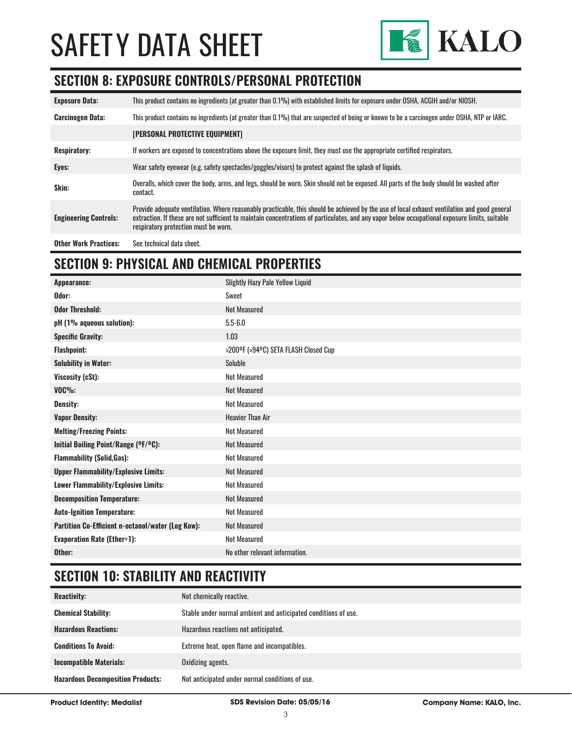# SAFETY DATA SHEET



## **SECTION 8: EXPOSURE CONTROLS/PERSONAL PROTECTION**

| <b>Exposure Data:</b>        | This product contains no ingredients (at greater than 0.1%) with established limits for exposure under OSHA, ACGIH and/or NIOSH.                                                                                                                                                                                                       |
|------------------------------|----------------------------------------------------------------------------------------------------------------------------------------------------------------------------------------------------------------------------------------------------------------------------------------------------------------------------------------|
| <b>Carcinogen Data:</b>      | This product contains no ingredients (at greater than 0.1%) that are suspected of being or known to be a carcinogen under OSHA, NTP or IARC.                                                                                                                                                                                           |
|                              | [PERSONAL PROTECTIVE EQUIPMENT]                                                                                                                                                                                                                                                                                                        |
| <b>Respiratory:</b>          | If workers are exposed to concentrations above the exposure limit, they must use the appropriate certified respirators.                                                                                                                                                                                                                |
| Eyes:                        | Wear safety eyewear (e.g. safety spectacles/goggles/visors) to protect against the splash of liquids.                                                                                                                                                                                                                                  |
| Skin:                        | Overalls, which cover the body, arms, and legs, should be worn. Skin should not be exposed. All parts of the body should be washed after<br>contact.                                                                                                                                                                                   |
| <b>Engineering Controls:</b> | Provide adequate ventilation. Where reasonably practicable, this should be achieved by the use of local exhaust ventilation and good general<br>extraction. If these are not sufficient to maintain concentrations of particulates, and any vapor below occupational exposure limits, suitable<br>respiratory protection must be worn. |
| <b>Other Work Practices:</b> | See technical data sheet.                                                                                                                                                                                                                                                                                                              |

# **SECTION 9: PHYSICAL AND CHEMICAL PROPERTIES**

| Appearance:                                       | <b>Slightly Hazy Pale Yellow Liquid</b> |
|---------------------------------------------------|-----------------------------------------|
| Odor:                                             | Sweet                                   |
| <b>Odor Threshold:</b>                            | <b>Not Measured</b>                     |
| pH (1% aqueous solution):                         | $5.5 - 6.0$                             |
| <b>Specific Gravity:</b>                          | 1.03                                    |
| <b>Flashpoint:</b>                                | >200°F (>94°C) SETA FLASH Closed Cup    |
| <b>Solubility in Water:</b>                       | Soluble                                 |
| Viscosity (cSt):                                  | <b>Not Measured</b>                     |
| $VOC\%$ :                                         | <b>Not Measured</b>                     |
| <b>Density:</b>                                   | <b>Not Measured</b>                     |
| <b>Vapor Density:</b>                             | <b>Heavier Than Air</b>                 |
| <b>Melting/Freezing Points:</b>                   | <b>Not Measured</b>                     |
| Initial Boiling Point/Range (OF/OC):              | <b>Not Measured</b>                     |
| <b>Flammability (Solid, Gas):</b>                 | <b>Not Measured</b>                     |
| <b>Upper Flammability/Explosive Limits:</b>       | <b>Not Measured</b>                     |
| <b>Lower Flammability/Explosive Limits:</b>       | <b>Not Measured</b>                     |
| <b>Decomposition Temperature:</b>                 | <b>Not Measured</b>                     |
| <b>Auto-Ignition Temperature:</b>                 | <b>Not Measured</b>                     |
| Partition Co-Efficient n-octanol/water (Log Kow): | <b>Not Measured</b>                     |
| <b>Evaporation Rate (Ether=1):</b>                | <b>Not Measured</b>                     |
| Other:                                            | No other relevant information.          |

# **SECTION 10: STABILITY AND REACTIVITY**

| <b>Reactivity:</b>                       | Not chemically reactive.                                       |
|------------------------------------------|----------------------------------------------------------------|
| <b>Chemical Stability:</b>               | Stable under normal ambient and anticipated conditions of use. |
| <b>Hazardous Reactions:</b>              | Hazardous reactions not anticipated.                           |
| <b>Conditions To Avoid:</b>              | Extreme heat, open flame and incompatibles.                    |
| <b>Incompatible Materials:</b>           | Oxidizing agents.                                              |
| <b>Hazardous Decomposition Products:</b> | Not anticipated under normal conditions of use.                |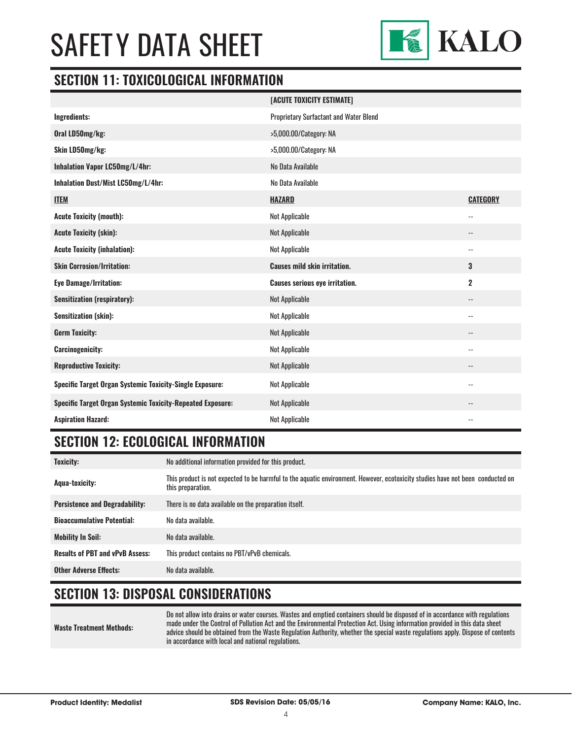# SAFET Y DATA SHEET



### **SECTION 11: TOXICOLOGICAL INFORMATION**

|                                                                   | [ACUTE TOXICITY ESTIMATE]              |                            |
|-------------------------------------------------------------------|----------------------------------------|----------------------------|
| Ingredients:                                                      | Proprietary Surfactant and Water Blend |                            |
| Oral LD50mg/kg:                                                   | >5,000.00/Category: NA                 |                            |
| Skin LD50mg/kg:                                                   | >5,000.00/Category: NA                 |                            |
| Inhalation Vapor LC50mg/L/4hr:                                    | No Data Available                      |                            |
| Inhalation Dust/Mist LC50mg/L/4hr:                                | No Data Available                      |                            |
| <b>ITEM</b>                                                       | <b>HAZARD</b>                          | <b>CATEGORY</b>            |
| <b>Acute Toxicity (mouth):</b>                                    | Not Applicable                         | $\overline{\phantom{a}}$   |
| <b>Acute Toxicity (skin):</b>                                     | Not Applicable                         | $\overline{\phantom{a}}$   |
| <b>Acute Toxicity (inhalation):</b>                               | Not Applicable                         | $\overline{\phantom{a}}$   |
| <b>Skin Corrosion/Irritation:</b>                                 | <b>Causes mild skin irritation.</b>    | 3                          |
| <b>Eye Damage/Irritation:</b>                                     | <b>Causes serious eye irritation.</b>  | $\mathbf 2$                |
| <b>Sensitization (respiratory):</b>                               | Not Applicable                         | $\overline{\phantom{a}}$   |
| <b>Sensitization (skin):</b>                                      | Not Applicable                         | $\overline{\phantom{a}}$ . |
| <b>Germ Toxicity:</b>                                             | Not Applicable                         | --                         |
| <b>Carcinogenicity:</b>                                           | Not Applicable                         | $\overline{\phantom{a}}$   |
| <b>Reproductive Toxicity:</b>                                     | Not Applicable                         | $\overline{\phantom{a}}$   |
| Specific Target Organ Systemic Toxicity-Single Exposure:          | Not Applicable                         | $-$                        |
| <b>Specific Target Organ Systemic Toxicity-Repeated Exposure:</b> | Not Applicable                         |                            |
| <b>Aspiration Hazard:</b>                                         | <b>Not Applicable</b>                  | $\overline{\phantom{a}}$   |

# **SECTION 12: ECOLOGICAL INFORMATION**

| <b>Toxicity:</b>                       | No additional information provided for this product.                                                                                                |
|----------------------------------------|-----------------------------------------------------------------------------------------------------------------------------------------------------|
| Agua-toxicity:                         | This product is not expected to be harmful to the aquatic environment. However, ecotoxicity studies have not been conducted on<br>this preparation. |
| <b>Persistence and Degradability:</b>  | There is no data available on the preparation itself.                                                                                               |
| <b>Bioaccumulative Potential:</b>      | No data available.                                                                                                                                  |
| <b>Mobility In Soil:</b>               | No data available.                                                                                                                                  |
| <b>Results of PBT and vPvB Assess:</b> | This product contains no PBT/vPvB chemicals.                                                                                                        |
| <b>Other Adverse Effects:</b>          | No data available.                                                                                                                                  |

# **SECTION 13: DISPOSAL CONSIDERATIONS**

**Waste Treatment Methods:** Do not allow into drains or water courses. Wastes and emptied containers should be disposed of in accordance with regulations made under the Control of Pollution Act and the Environmental Protection Act. Using information provided in this data sheet advice should be obtained from the Waste Regulation Authority, whether the special waste regulations apply. Dispose of contents in accordance with local and national regulations.